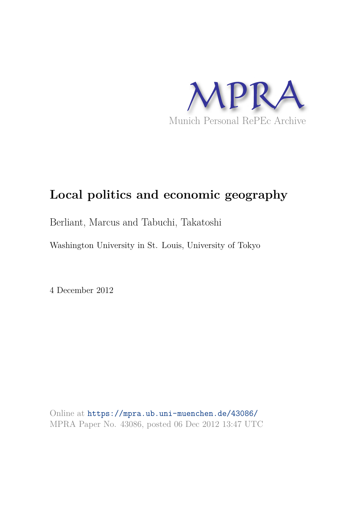

# **Local politics and economic geography**

Berliant, Marcus and Tabuchi, Takatoshi

Washington University in St. Louis, University of Tokyo

4 December 2012

Online at https://mpra.ub.uni-muenchen.de/43086/ MPRA Paper No. 43086, posted 06 Dec 2012 13:47 UTC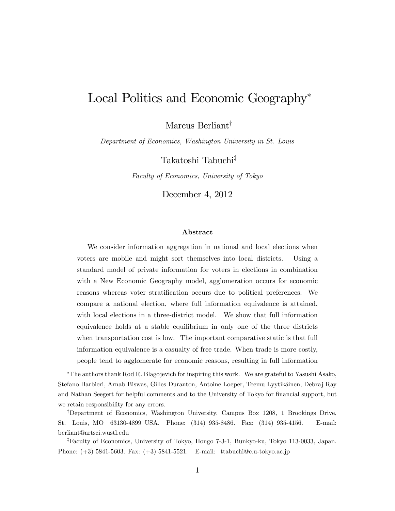# Local Politics and Economic Geography<sup>\*</sup>

Marcus Berliant<sup>†</sup>

Department of Economics, Washington University in St. Louis

Takatoshi Tabuchi<sup>‡</sup>

Faculty of Economics, University of Tokyo

December 4, 2012

#### Abstract

We consider information aggregation in national and local elections when voters are mobile and might sort themselves into local districts. Using a standard model of private information for voters in elections in combination with a New Economic Geography model, agglomeration occurs for economic reasons whereas voter stratification occurs due to political preferences. We compare a national election, where full information equivalence is attained, with local elections in a three-district model. We show that full information equivalence holds at a stable equilibrium in only one of the three districts when transportation cost is low. The important comparative static is that full information equivalence is a casualty of free trade. When trade is more costly, people tend to agglomerate for economic reasons, resulting in full information

The authors thank Rod R. Blagojevich for inspiring this work. We are grateful to Yasushi Asako, Stefano Barbieri, Arnab Biswas, Gilles Duranton, Antoine Loeper, Teemu Lyytikäinen, Debraj Ray and Nathan Seegert for helpful comments and to the University of Tokyo for financial support, but we retain responsibility for any errors.

<sup>&</sup>lt;sup>†</sup>Department of Economics, Washington University, Campus Box 1208, 1 Brookings Drive, St. Louis, MO 63130-4899 USA. Phone: (314) 935-8486. Fax: (314) 935-4156. E-mail: berliant@artsci.wustl.edu

<sup>&</sup>lt;sup>‡</sup>Faculty of Economics, University of Tokyo, Hongo 7-3-1, Bunkyo-ku, Tokyo 113-0033, Japan. Phone: (+3) 5841-5603. Fax: (+3) 5841-5521. E-mail: ttabuchi@e.u-tokyo.ac.jp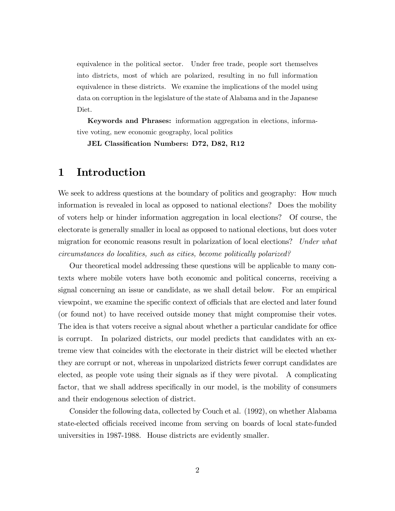equivalence in the political sector. Under free trade, people sort themselves into districts, most of which are polarized, resulting in no full information equivalence in these districts. We examine the implications of the model using data on corruption in the legislature of the state of Alabama and in the Japanese Diet.

Keywords and Phrases: information aggregation in elections, informative voting, new economic geography, local politics

JEL Classification Numbers: D72, D82, R12

## 1 Introduction

We seek to address questions at the boundary of politics and geography: How much information is revealed in local as opposed to national elections? Does the mobility of voters help or hinder information aggregation in local elections? Of course, the electorate is generally smaller in local as opposed to national elections, but does voter migration for economic reasons result in polarization of local elections? Under what circumstances do localities, such as cities, become politically polarized?

Our theoretical model addressing these questions will be applicable to many contexts where mobile voters have both economic and political concerns, receiving a signal concerning an issue or candidate, as we shall detail below. For an empirical viewpoint, we examine the specific context of officials that are elected and later found (or found not) to have received outside money that might compromise their votes. The idea is that voters receive a signal about whether a particular candidate for office is corrupt. In polarized districts, our model predicts that candidates with an extreme view that coincides with the electorate in their district will be elected whether they are corrupt or not, whereas in unpolarized districts fewer corrupt candidates are elected, as people vote using their signals as if they were pivotal. A complicating factor, that we shall address specifically in our model, is the mobility of consumers and their endogenous selection of district.

Consider the following data, collected by Couch et al. (1992), on whether Alabama state-elected officials received income from serving on boards of local state-funded universities in 1987-1988. House districts are evidently smaller.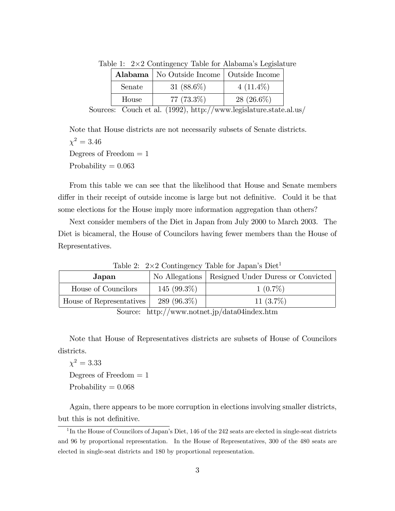|        | Alabama   No Outside Income   Outside Income |              |
|--------|----------------------------------------------|--------------|
| Senate | 31 $(88.6\%)$                                | $4(11.4\%)$  |
| House  | $77(73.3\%)$                                 | $28(26.6\%)$ |

Table 1:  $2\times2$  Contingency Table for Alabama's Legislature

Sources: Couch et al. (1992), http://www.legislature.state.al.us/

Note that House districts are not necessarily subsets of Senate districts.

 $\chi^2 = 3.46$ Degrees of Freedom  $= 1$ Probability  $= 0.063$ 

From this table we can see that the likelihood that House and Senate members differ in their receipt of outside income is large but not definitive. Could it be that some elections for the House imply more information aggregation than others?

Next consider members of the Diet in Japan from July 2000 to March 2003. The Diet is bicameral, the House of Councilors having fewer members than the House of Representatives.

| Japan                    |                | No Allegations   Resigned Under Duress or Convicted |
|--------------------------|----------------|-----------------------------------------------------|
| House of Councilors      | 145 $(99.3\%)$ | $1(0.7\%)$                                          |
| House of Representatives | 289 $(96.3\%)$ | 11 $(3.7\%)$                                        |

Table 2:  $2 \times 2$  Contingency Table for Japan's Diet<sup>1</sup>

Source: http://www.notnet.jp/data04index.htm

Note that House of Representatives districts are subsets of House of Councilors districts.

 $\chi^2 = 3.33$ Degrees of Freedom  $= 1$ Probability  $= 0.068$ 

Again, there appears to be more corruption in elections involving smaller districts, but this is not definitive.

<sup>&</sup>lt;sup>1</sup>In the House of Councilors of Japan's Diet, 146 of the 242 seats are elected in single-seat districts and 96 by proportional representation. In the House of Representatives, 300 of the 480 seats are elected in single-seat districts and 180 by proportional representation.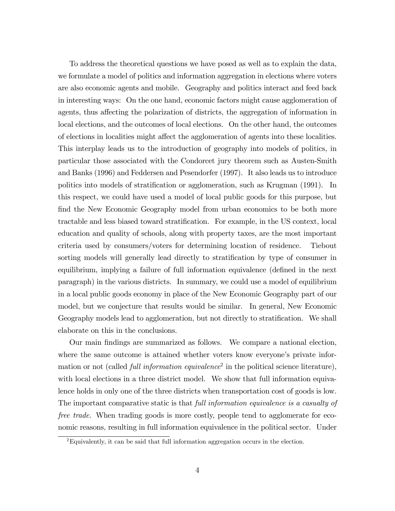To address the theoretical questions we have posed as well as to explain the data, we formulate a model of politics and information aggregation in elections where voters are also economic agents and mobile. Geography and politics interact and feed back in interesting ways: On the one hand, economic factors might cause agglomeration of agents, thus affecting the polarization of districts, the aggregation of information in local elections, and the outcomes of local elections. On the other hand, the outcomes of elections in localities might affect the agglomeration of agents into these localities. This interplay leads us to the introduction of geography into models of politics, in particular those associated with the Condorcet jury theorem such as Austen-Smith and Banks (1996) and Feddersen and Pesendorfer (1997). It also leads us to introduce politics into models of stratification or agglomeration, such as Krugman (1991). In this respect, we could have used a model of local public goods for this purpose, but find the New Economic Geography model from urban economics to be both more tractable and less biased toward stratification. For example, in the US context, local education and quality of schools, along with property taxes, are the most important criteria used by consumers/voters for determining location of residence. Tiebout sorting models will generally lead directly to stratification by type of consumer in equilibrium, implying a failure of full information equivalence (defined in the next paragraph) in the various districts. In summary, we could use a model of equilibrium in a local public goods economy in place of the New Economic Geography part of our model, but we conjecture that results would be similar. In general, New Economic Geography models lead to agglomeration, but not directly to stratification. We shall elaborate on this in the conclusions.

Our main Öndings are summarized as follows. We compare a national election, where the same outcome is attained whether voters know everyone's private information or not (called *full information equivalence*<sup>2</sup> in the political science literature), with local elections in a three district model. We show that full information equivalence holds in only one of the three districts when transportation cost of goods is low. The important comparative static is that full information equivalence is a casualty of free trade. When trading goods is more costly, people tend to agglomerate for economic reasons, resulting in full information equivalence in the political sector. Under

<sup>2</sup>Equivalently, it can be said that full information aggregation occurs in the election.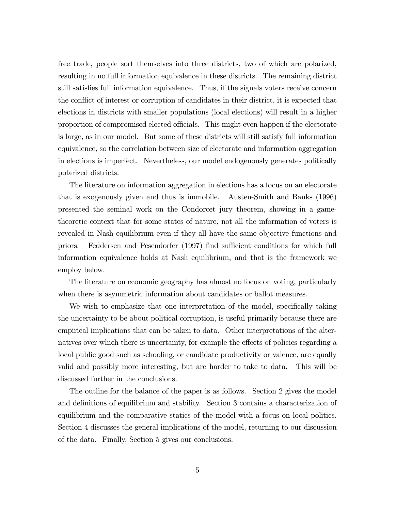free trade, people sort themselves into three districts, two of which are polarized, resulting in no full information equivalence in these districts. The remaining district still satisfies full information equivalence. Thus, if the signals voters receive concern the conflict of interest or corruption of candidates in their district, it is expected that elections in districts with smaller populations (local elections) will result in a higher proportion of compromised elected officials. This might even happen if the electorate is large, as in our model. But some of these districts will still satisfy full information equivalence, so the correlation between size of electorate and information aggregation in elections is imperfect. Nevertheless, our model endogenously generates politically polarized districts.

The literature on information aggregation in elections has a focus on an electorate that is exogenously given and thus is immobile. Austen-Smith and Banks (1996) presented the seminal work on the Condorcet jury theorem, showing in a gametheoretic context that for some states of nature, not all the information of voters is revealed in Nash equilibrium even if they all have the same objective functions and priors. Feddersen and Pesendorfer (1997) find sufficient conditions for which full information equivalence holds at Nash equilibrium, and that is the framework we employ below.

The literature on economic geography has almost no focus on voting, particularly when there is asymmetric information about candidates or ballot measures.

We wish to emphasize that one interpretation of the model, specifically taking the uncertainty to be about political corruption, is useful primarily because there are empirical implications that can be taken to data. Other interpretations of the alternatives over which there is uncertainty, for example the effects of policies regarding a local public good such as schooling, or candidate productivity or valence, are equally valid and possibly more interesting, but are harder to take to data. This will be discussed further in the conclusions.

The outline for the balance of the paper is as follows. Section 2 gives the model and definitions of equilibrium and stability. Section 3 contains a characterization of equilibrium and the comparative statics of the model with a focus on local politics. Section 4 discusses the general implications of the model, returning to our discussion of the data. Finally, Section 5 gives our conclusions.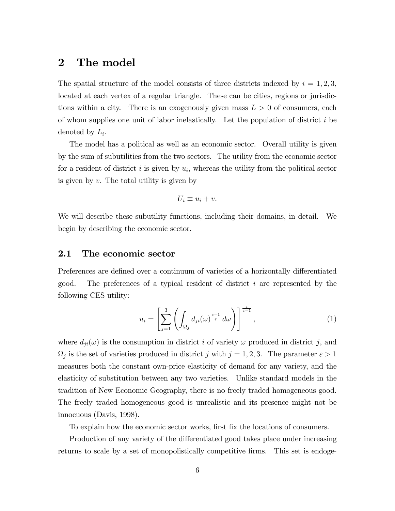# 2 The model

The spatial structure of the model consists of three districts indexed by  $i = 1, 2, 3$ , located at each vertex of a regular triangle. These can be cities, regions or jurisdictions within a city. There is an exogenously given mass  $L > 0$  of consumers, each of whom supplies one unit of labor inelastically. Let the population of district  $i$  be denoted by  $L_i$ .

The model has a political as well as an economic sector. Overall utility is given by the sum of subutilities from the two sectors. The utility from the economic sector for a resident of district  $i$  is given by  $u_i$ , whereas the utility from the political sector is given by  $v$ . The total utility is given by

$$
U_i \equiv u_i + v.
$$

We will describe these subutility functions, including their domains, in detail. We begin by describing the economic sector.

## 2.1 The economic sector

Preferences are defined over a continuum of varieties of a horizontally differentiated good. The preferences of a typical resident of district  $i$  are represented by the following CES utility:

$$
u_i = \left[\sum_{j=1}^3 \left( \int_{\Omega_j} d_{ji}(\omega)^{\frac{\varepsilon-1}{\varepsilon}} d\omega \right) \right]^{\frac{\varepsilon}{\varepsilon-1}}, \tag{1}
$$

where  $d_{ji}(\omega)$  is the consumption in district i of variety  $\omega$  produced in district j, and  $\Omega_j$  is the set of varieties produced in district j with  $j = 1, 2, 3$ . The parameter  $\varepsilon > 1$ measures both the constant own-price elasticity of demand for any variety, and the elasticity of substitution between any two varieties. Unlike standard models in the tradition of New Economic Geography, there is no freely traded homogeneous good. The freely traded homogeneous good is unrealistic and its presence might not be innocuous (Davis, 1998).

To explain how the economic sector works, first fix the locations of consumers.

Production of any variety of the differentiated good takes place under increasing returns to scale by a set of monopolistically competitive firms. This set is endoge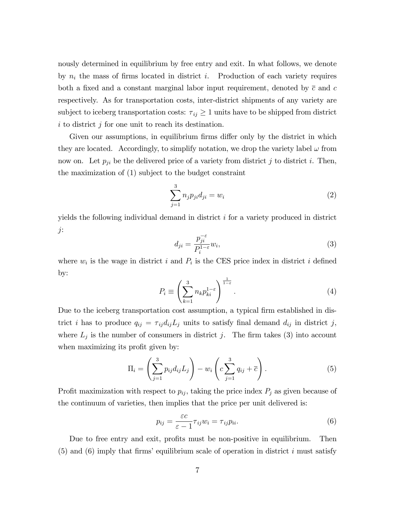nously determined in equilibrium by free entry and exit. In what follows, we denote by  $n_i$  the mass of firms located in district i. Production of each variety requires both a fixed and a constant marginal labor input requirement, denoted by  $\bar{c}$  and c respectively. As for transportation costs, inter-district shipments of any variety are subject to iceberg transportation costs:  $\tau_{ij} \geq 1$  units have to be shipped from district  $i$  to district  $j$  for one unit to reach its destination.

Given our assumptions, in equilibrium firms differ only by the district in which they are located. Accordingly, to simplify notation, we drop the variety label  $\omega$  from now on. Let  $p_{ji}$  be the delivered price of a variety from district j to district i. Then, the maximization of (1) subject to the budget constraint

$$
\sum_{j=1}^{3} n_j p_{ji} d_{ji} = w_i
$$
 (2)

yields the following individual demand in district  $i$  for a variety produced in district j:

$$
d_{ji} = \frac{p_{ji}^{-\varepsilon}}{P_i^{1-\varepsilon}} w_i,
$$
\n(3)

where  $w_i$  is the wage in district i and  $P_i$  is the CES price index in district i defined by:

$$
P_i \equiv \left(\sum_{k=1}^3 n_k p_{ki}^{1-\varepsilon}\right)^{\frac{1}{1-\varepsilon}}.\tag{4}
$$

Due to the iceberg transportation cost assumption, a typical firm established in district i has to produce  $q_{ij} = \tau_{ij} d_{ij} L_j$  units to satisfy final demand  $d_{ij}$  in district j, where  $L_j$  is the number of consumers in district j. The firm takes (3) into account when maximizing its profit given by:

$$
\Pi_i = \left(\sum_{j=1}^3 p_{ij} d_{ij} L_j\right) - w_i \left(c \sum_{j=1}^3 q_{ij} + \overline{c}\right).
$$
 (5)

Profit maximization with respect to  $p_{ij}$ , taking the price index  $P_j$  as given because of the continuum of varieties, then implies that the price per unit delivered is:

$$
p_{ij} = \frac{\varepsilon c}{\varepsilon - 1} \tau_{ij} w_i = \tau_{ij} p_{ii}.
$$
 (6)

Due to free entry and exit, profits must be non-positive in equilibrium. Then  $(5)$  and  $(6)$  imply that firms' equilibrium scale of operation in district i must satisfy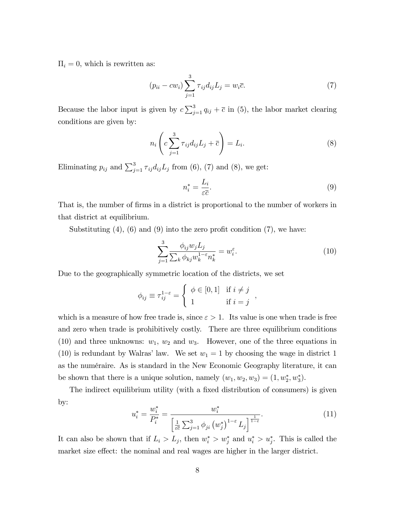$\Pi_i = 0$ , which is rewritten as:

$$
(p_{ii} - cw_i) \sum_{j=1}^{3} \tau_{ij} d_{ij} L_j = w_i \overline{c}.
$$
 (7)

Because the labor input is given by  $c \sum_{j=1}^{3} q_{ij} + \overline{c}$  in (5), the labor market clearing conditions are given by:

$$
n_i \left( c \sum_{j=1}^3 \tau_{ij} d_{ij} L_j + \overline{c} \right) = L_i.
$$
 (8)

Eliminating  $p_{ij}$  and  $\sum_{j=1}^{3} \tau_{ij} d_{ij} L_j$  from (6), (7) and (8), we get:

$$
n_i^* = \frac{L_i}{\varepsilon \bar{c}}.\tag{9}
$$

That is, the number of firms in a district is proportional to the number of workers in that district at equilibrium.

Substituting  $(4)$ ,  $(6)$  and  $(9)$  into the zero profit condition  $(7)$ , we have:

$$
\sum_{j=1}^{3} \frac{\phi_{ij} w_j L_j}{\sum_k \phi_{kj} w_k^{1-\epsilon} n_k^*} = w_i^{\epsilon}.
$$
\n(10)

Due to the geographically symmetric location of the districts, we set

$$
\phi_{ij} \equiv \tau_{ij}^{1-\varepsilon} = \begin{cases} \phi \in [0,1] & \text{if } i \neq j \\ 1 & \text{if } i = j \end{cases},
$$

which is a measure of how free trade is, since  $\varepsilon > 1$ . Its value is one when trade is free and zero when trade is prohibitively costly. There are three equilibrium conditions (10) and three unknowns:  $w_1, w_2$  and  $w_3$ . However, one of the three equations in (10) is redundant by Walras' law. We set  $w_1 = 1$  by choosing the wage in district 1 as the numéraire. As is standard in the New Economic Geography literature, it can be shown that there is a unique solution, namely  $(w_1, w_2, w_3) = (1, w_2^*, w_3^*).$ 

The indirect equilibrium utility (with a fixed distribution of consumers) is given by:

$$
u_i^* = \frac{w_i^*}{P_i^*} = \frac{w_i^*}{\left[\frac{1}{\varepsilon\bar{c}}\sum_{j=1}^3 \phi_{ji} (w_j^*)^{1-\varepsilon} L_j\right]^{\frac{1}{1-\varepsilon}}}.
$$
(11)

It can also be shown that if  $L_i > L_j$ , then  $w_i^* > w_j^*$  and  $u_i^* > u_j^*$ . This is called the market size effect: the nominal and real wages are higher in the larger district.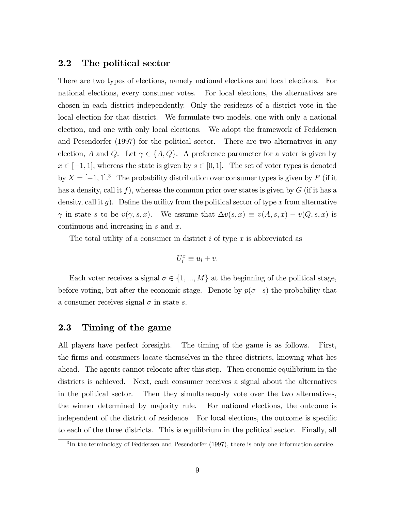## 2.2 The political sector

There are two types of elections, namely national elections and local elections. For national elections, every consumer votes. For local elections, the alternatives are chosen in each district independently. Only the residents of a district vote in the local election for that district. We formulate two models, one with only a national election, and one with only local elections. We adopt the framework of Feddersen and Pesendorfer (1997) for the political sector. There are two alternatives in any election, A and Q. Let  $\gamma \in \{A, Q\}$ . A preference parameter for a voter is given by  $x \in [-1, 1]$ , whereas the state is given by  $s \in [0, 1]$ . The set of voter types is denoted by  $X = [-1, 1]^3$  The probability distribution over consumer types is given by F (if it has a density, call it f), whereas the common prior over states is given by  $G$  (if it has a density, call it g). Define the utility from the political sector of type x from alternative  $\gamma$  in state s to be  $v(\gamma, s, x)$ . We assume that  $\Delta v(s, x) \equiv v(A, s, x) - v(Q, s, x)$  is continuous and increasing in s and x.

The total utility of a consumer in district  $i$  of type  $x$  is abbreviated as

$$
U_i^x \equiv u_i + v.
$$

Each voter receives a signal  $\sigma \in \{1, ..., M\}$  at the beginning of the political stage, before voting, but after the economic stage. Denote by  $p(\sigma | s)$  the probability that a consumer receives signal  $\sigma$  in state s.

## 2.3 Timing of the game

All players have perfect foresight. The timing of the game is as follows. First, the Örms and consumers locate themselves in the three districts, knowing what lies ahead. The agents cannot relocate after this step. Then economic equilibrium in the districts is achieved. Next, each consumer receives a signal about the alternatives in the political sector. Then they simultaneously vote over the two alternatives, the winner determined by majority rule. For national elections, the outcome is independent of the district of residence. For local elections, the outcome is specific to each of the three districts. This is equilibrium in the political sector. Finally, all

<sup>&</sup>lt;sup>3</sup>In the terminology of Feddersen and Pesendorfer (1997), there is only one information service.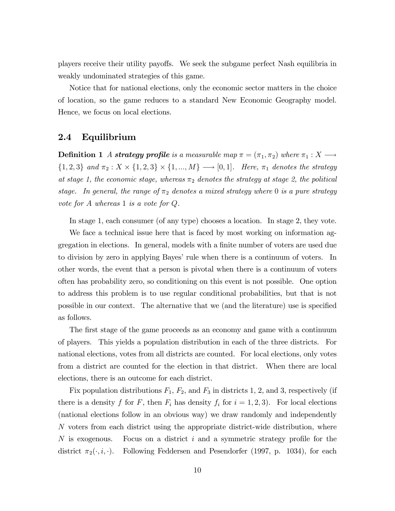players receive their utility payoffs. We seek the subgame perfect Nash equilibria in weakly undominated strategies of this game.

Notice that for national elections, only the economic sector matters in the choice of location, so the game reduces to a standard New Economic Geography model. Hence, we focus on local elections.

## 2.4 Equilibrium

**Definition 1** A strategy profile is a measurable map  $\pi = (\pi_1, \pi_2)$  where  $\pi_1 : X \longrightarrow$  $\{1,2,3\}$  and  $\pi_2: X \times \{1,2,3\} \times \{1,...,M\} \longrightarrow [0,1].$  Here,  $\pi_1$  denotes the strategy at stage 1, the economic stage, whereas  $\pi_2$  denotes the strategy at stage 2, the political stage. In general, the range of  $\pi_2$  denotes a mixed strategy where 0 is a pure strategy vote for  $A$  whereas  $1$  is a vote for  $Q$ .

In stage 1, each consumer (of any type) chooses a location. In stage 2, they vote.

We face a technical issue here that is faced by most working on information aggregation in elections. In general, models with a finite number of voters are used due to division by zero in applying Bayesí rule when there is a continuum of voters. In other words, the event that a person is pivotal when there is a continuum of voters often has probability zero, so conditioning on this event is not possible. One option to address this problem is to use regular conditional probabilities, but that is not possible in our context. The alternative that we (and the literature) use is specified as follows.

The first stage of the game proceeds as an economy and game with a continuum of players. This yields a population distribution in each of the three districts. For national elections, votes from all districts are counted. For local elections, only votes from a district are counted for the election in that district. When there are local elections, there is an outcome for each district.

Fix population distributions  $F_1$ ,  $F_2$ , and  $F_3$  in districts 1, 2, and 3, respectively (if there is a density f for F, then  $F_i$  has density  $f_i$  for  $i = 1, 2, 3$ . For local elections (national elections follow in an obvious way) we draw randomly and independently N voters from each district using the appropriate district-wide distribution, where  $N$  is exogenous. Focus on a district i and a symmetric strategy profile for the district  $\pi_2(\cdot, i, \cdot)$ . Following Feddersen and Pesendorfer (1997, p. 1034), for each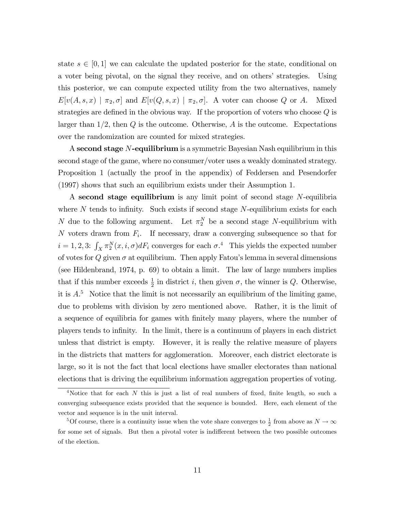state  $s \in [0, 1]$  we can calculate the updated posterior for the state, conditional on a voter being pivotal, on the signal they receive, and on others' strategies. Using this posterior, we can compute expected utility from the two alternatives, namely  $E[v(A, s, x) \mid \pi_2, \sigma]$  and  $E[v(Q, s, x) \mid \pi_2, \sigma]$ . A voter can choose Q or A. Mixed strategies are defined in the obvious way. If the proportion of voters who choose  $Q$  is larger than  $1/2$ , then Q is the outcome. Otherwise, A is the outcome. Expectations over the randomization are counted for mixed strategies.

A second stage N-equilibrium is a symmetric Bayesian Nash equilibrium in this second stage of the game, where no consumer/voter uses a weakly dominated strategy. Proposition 1 (actually the proof in the appendix) of Feddersen and Pesendorfer (1997) shows that such an equilibrium exists under their Assumption 1.

A second stage equilibrium is any limit point of second stage N-equilibria where  $N$  tends to infinity. Such exists if second stage  $N$ -equilibrium exists for each N due to the following argument. Let  $\pi_2^N$  be a second stage N-equilibrium with N voters drawn from  $F_i$ . If necessary, draw a converging subsequence so that for  $i = 1, 2, 3$ :  $\int_X \pi_2^N(x, i, \sigma) dF_i$  converges for each  $\sigma$ .<sup>4</sup> This yields the expected number of votes for  $Q$  given  $\sigma$  at equilibrium. Then apply Fatou's lemma in several dimensions (see Hildenbrand, 1974, p. 69) to obtain a limit. The law of large numbers implies that if this number exceeds  $\frac{1}{2}$  in district *i*, then given  $\sigma$ , the winner is *Q*. Otherwise, it is  $A<sup>5</sup>$ . Notice that the limit is not necessarily an equilibrium of the limiting game, due to problems with division by zero mentioned above. Rather, it is the limit of a sequence of equilibria for games with Önitely many players, where the number of players tends to inÖnity. In the limit, there is a continuum of players in each district unless that district is empty. However, it is really the relative measure of players in the districts that matters for agglomeration. Moreover, each district electorate is large, so it is not the fact that local elections have smaller electorates than national elections that is driving the equilibrium information aggregation properties of voting.

<sup>&</sup>lt;sup>4</sup>Notice that for each  $N$  this is just a list of real numbers of fixed, finite length, so such a converging subsequence exists provided that the sequence is bounded. Here, each element of the vector and sequence is in the unit interval.

<sup>&</sup>lt;sup>5</sup>Of course, there is a continuity issue when the vote share converges to  $\frac{1}{2}$  from above as  $N \to \infty$ for some set of signals. But then a pivotal voter is indifferent between the two possible outcomes of the election.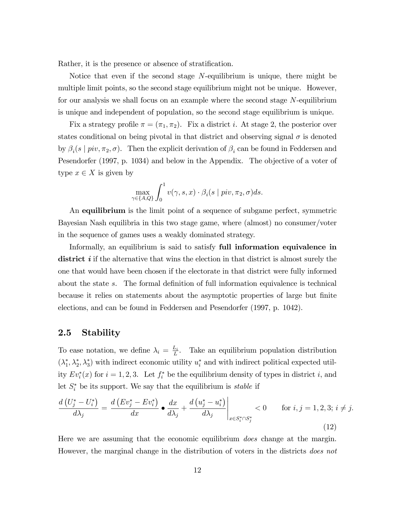Rather, it is the presence or absence of stratification.

Notice that even if the second stage N-equilibrium is unique, there might be multiple limit points, so the second stage equilibrium might not be unique. However, for our analysis we shall focus on an example where the second stage N-equilibrium is unique and independent of population, so the second stage equilibrium is unique.

Fix a strategy profile  $\pi = (\pi_1, \pi_2)$ . Fix a district *i*. At stage 2, the posterior over states conditional on being pivotal in that district and observing signal  $\sigma$  is denoted by  $\beta_i(s \mid piv, \pi_2, \sigma)$ . Then the explicit derivation of  $\beta_i$  can be found in Feddersen and Pesendorfer (1997, p. 1034) and below in the Appendix. The objective of a voter of type  $x \in X$  is given by

$$
\max_{\gamma \in \{A,Q\}} \int_0^1 v(\gamma,s,x) \cdot \beta_i(s \mid piv, \pi_2, \sigma) ds.
$$

An **equilibrium** is the limit point of a sequence of subgame perfect, symmetric Bayesian Nash equilibria in this two stage game, where (almost) no consumer/voter in the sequence of games uses a weakly dominated strategy.

Informally, an equilibrium is said to satisfy full information equivalence in district i if the alternative that wins the election in that district is almost surely the one that would have been chosen if the electorate in that district were fully informed about the state  $s$ . The formal definition of full information equivalence is technical because it relies on statements about the asymptotic properties of large but finite elections, and can be found in Feddersen and Pesendorfer (1997, p. 1042).

## 2.5 Stability

To ease notation, we define  $\lambda_i = \frac{L_i}{L_i}$  $\frac{L_i}{L}$ . Take an equilibrium population distribution  $(\lambda_1^*, \lambda_2^*, \lambda_3^*)$  with indirect economic utility  $u_i^*$  and with indirect political expected utility  $Ev_i^*(x)$  for  $i = 1, 2, 3$ . Let  $f_i^*$  be the equilibrium density of types in district i, and let  $S_i^*$  be its support. We say that the equilibrium is *stable* if

$$
\frac{d\left(U_j^* - U_i^*\right)}{d\lambda_j} = \frac{d\left(Ev_j^* - Ev_i^*\right)}{dx} \bullet \frac{dx}{d\lambda_j} + \frac{d\left(u_j^* - u_i^*\right)}{d\lambda_j}\Big|_{x \in S_i^* \cap S_j^*} < 0 \quad \text{for } i, j = 1, 2, 3; \ i \neq j. \tag{12}
$$

Here we are assuming that the economic equilibrium *does* change at the margin. However, the marginal change in the distribution of voters in the districts *does not*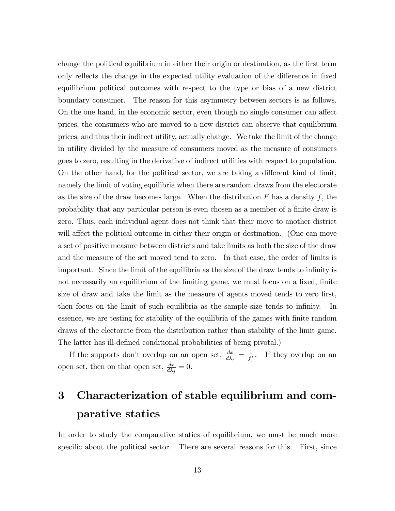change the political equilibrium in either their origin or destination, as the first term only reflects the change in the expected utility evaluation of the difference in fixed equilibrium political outcomes with respect to the type or bias of a new district boundary consumer. The reason for this asymmetry between sectors is as follows. On the one hand, in the economic sector, even though no single consumer can affect prices, the consumers who are moved to a new district can observe that equilibrium prices, and thus their indirect utility, actually change. We take the limit of the change in utility divided by the measure of consumers moved as the measure of consumers goes to zero, resulting in the derivative of indirect utilities with respect to population. On the other hand, for the political sector, we are taking a different kind of limit, namely the limit of voting equilibria when there are random draws from the electorate as the size of the draw becomes large. When the distribution  $F$  has a density  $f$ , the probability that any particular person is even chosen as a member of a finite draw is zero. Thus, each individual agent does not think that their move to another district will affect the political outcome in either their origin or destination. (One can move a set of positive measure between districts and take limits as both the size of the draw and the measure of the set moved tend to zero. In that case, the order of limits is important. Since the limit of the equilibria as the size of the draw tends to infinity is not necessarily an equilibrium of the limiting game, we must focus on a fixed, finite size of draw and take the limit as the measure of agents moved tends to zero first, then focus on the limit of such equilibria as the sample size tends to infinity. In essence, we are testing for stability of the equilibria of the games with finite random draws of the electorate from the distribution rather than stability of the limit game. The latter has ill-defined conditional probabilities of being pivotal.)

If the supports don't overlap on an open set,  $\frac{dx}{d\lambda_j} = \frac{1}{f_j}$  $\frac{1}{f_j^*}$ . If they overlap on an open set, then on that open set,  $\frac{dx}{d\lambda_j} = 0$ .

# 3 Characterization of stable equilibrium and comparative statics

In order to study the comparative statics of equilibrium, we must be much more specific about the political sector. There are several reasons for this. First, since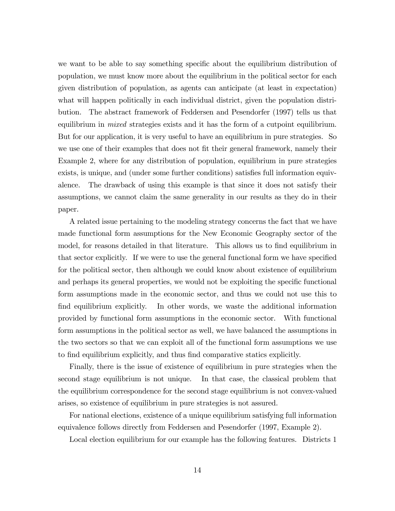we want to be able to say something specific about the equilibrium distribution of population, we must know more about the equilibrium in the political sector for each given distribution of population, as agents can anticipate (at least in expectation) what will happen politically in each individual district, given the population distribution. The abstract framework of Feddersen and Pesendorfer (1997) tells us that equilibrium in *mixed* strategies exists and it has the form of a cutpoint equilibrium. But for our application, it is very useful to have an equilibrium in pure strategies. So we use one of their examples that does not fit their general framework, namely their Example 2, where for any distribution of population, equilibrium in pure strategies exists, is unique, and (under some further conditions) satisfies full information equivalence. The drawback of using this example is that since it does not satisfy their assumptions, we cannot claim the same generality in our results as they do in their paper.

A related issue pertaining to the modeling strategy concerns the fact that we have made functional form assumptions for the New Economic Geography sector of the model, for reasons detailed in that literature. This allows us to find equilibrium in that sector explicitly. If we were to use the general functional form we have specified for the political sector, then although we could know about existence of equilibrium and perhaps its general properties, we would not be exploiting the specific functional form assumptions made in the economic sector, and thus we could not use this to find equilibrium explicitly. In other words, we waste the additional information provided by functional form assumptions in the economic sector. With functional form assumptions in the political sector as well, we have balanced the assumptions in the two sectors so that we can exploit all of the functional form assumptions we use to find equilibrium explicitly, and thus find comparative statics explicitly.

Finally, there is the issue of existence of equilibrium in pure strategies when the second stage equilibrium is not unique. In that case, the classical problem that the equilibrium correspondence for the second stage equilibrium is not convex-valued arises, so existence of equilibrium in pure strategies is not assured.

For national elections, existence of a unique equilibrium satisfying full information equivalence follows directly from Feddersen and Pesendorfer (1997, Example 2).

Local election equilibrium for our example has the following features. Districts 1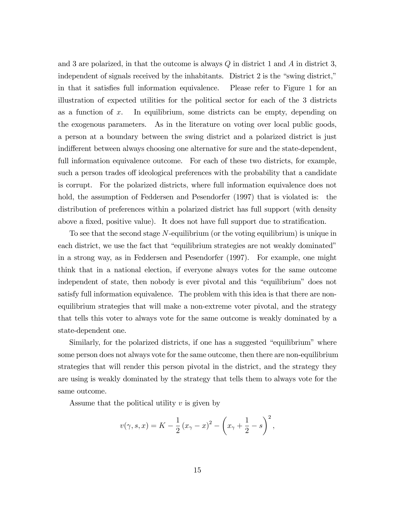and 3 are polarized, in that the outcome is always  $Q$  in district 1 and  $A$  in district 3, independent of signals received by the inhabitants. District  $2$  is the "swing district," in that it satisfies full information equivalence. Please refer to Figure 1 for an illustration of expected utilities for the political sector for each of the 3 districts as a function of  $x$ . In equilibrium, some districts can be empty, depending on the exogenous parameters. As in the literature on voting over local public goods, a person at a boundary between the swing district and a polarized district is just indifferent between always choosing one alternative for sure and the state-dependent, full information equivalence outcome. For each of these two districts, for example, such a person trades off ideological preferences with the probability that a candidate is corrupt. For the polarized districts, where full information equivalence does not hold, the assumption of Feddersen and Pesendorfer (1997) that is violated is: the distribution of preferences within a polarized district has full support (with density above a fixed, positive value). It does not have full support due to stratification.

To see that the second stage  $N$ -equilibrium (or the voting equilibrium) is unique in each district, we use the fact that "equilibrium strategies are not weakly dominated" in a strong way, as in Feddersen and Pesendorfer (1997). For example, one might think that in a national election, if everyone always votes for the same outcome independent of state, then nobody is ever pivotal and this "equilibrium" does not satisfy full information equivalence. The problem with this idea is that there are nonequilibrium strategies that will make a non-extreme voter pivotal, and the strategy that tells this voter to always vote for the same outcome is weakly dominated by a state-dependent one.

Similarly, for the polarized districts, if one has a suggested "equilibrium" where some person does not always vote for the same outcome, then there are non-equilibrium strategies that will render this person pivotal in the district, and the strategy they are using is weakly dominated by the strategy that tells them to always vote for the same outcome.

Assume that the political utility  $v$  is given by

$$
v(\gamma, s, x) = K - \frac{1}{2} (x_{\gamma} - x)^2 - (x_{\gamma} + \frac{1}{2} - s)^2,
$$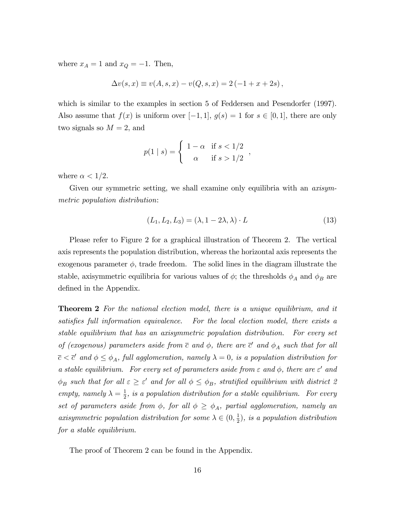where  $x_A = 1$  and  $x_Q = -1$ . Then,

$$
\Delta v(s, x) \equiv v(A, s, x) - v(Q, s, x) = 2(-1 + x + 2s),
$$

which is similar to the examples in section 5 of Feddersen and Pesendorfer (1997). Also assume that  $f(x)$  is uniform over  $[-1, 1], g(s) = 1$  for  $s \in [0, 1]$ , there are only two signals so  $M = 2$ , and

$$
p(1 | s) = \begin{cases} 1 - \alpha & \text{if } s < 1/2 \\ \alpha & \text{if } s > 1/2 \end{cases}
$$

where  $\alpha < 1/2$ .

Given our symmetric setting, we shall examine only equilibria with an *axisym*metric population distribution:

$$
(L_1, L_2, L_3) = (\lambda, 1 - 2\lambda, \lambda) \cdot L \tag{13}
$$

Please refer to Figure 2 for a graphical illustration of Theorem 2. The vertical axis represents the population distribution, whereas the horizontal axis represents the exogenous parameter  $\phi$ , trade freedom. The solid lines in the diagram illustrate the stable, axisymmetric equilibria for various values of  $\phi$ ; the thresholds  $\phi_A$  and  $\phi_B$  are defined in the Appendix.

**Theorem 2** For the national election model, there is a unique equilibrium, and it satisfies full information equivalence. For the local election model, there exists a stable equilibrium that has an axisymmetric population distribution. For every set of (exogenous) parameters aside from  $\bar{c}$  and  $\phi$ , there are  $\bar{c}'$  and  $\phi_A$  such that for all  $\overline{c} < \overline{c}'$  and  $\phi \leq \phi_A$ , full agglomeration, namely  $\lambda = 0$ , is a population distribution for a stable equilibrium. For every set of parameters aside from  $\varepsilon$  and  $\phi$ , there are  $\varepsilon'$  and  $\phi_B$  such that for all  $\varepsilon \geq \varepsilon'$  and for all  $\phi \leq \phi_B$ , stratified equilibrium with district 2 empty, namely  $\lambda = \frac{1}{2}$  $\frac{1}{2}$ , is a population distribution for a stable equilibrium. For every set of parameters aside from  $\phi$ , for all  $\phi \geq \phi_A$ , partial agglomeration, namely an axisymmetric population distribution for some  $\lambda \in (0, \frac{1}{2})$  $(\frac{1}{2})$ , is a population distribution for a stable equilibrium.

The proof of Theorem 2 can be found in the Appendix.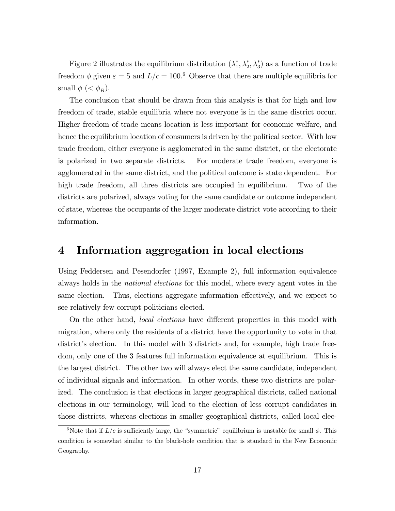Figure 2 illustrates the equilibrium distribution  $(\lambda_1^*, \lambda_2^*, \lambda_3^*)$  as a function of trade freedom  $\phi$  given  $\varepsilon = 5$  and  $L/\overline{c} = 100.6$  Observe that there are multiple equilibria for small  $\phi \, (< \phi_B)$ .

The conclusion that should be drawn from this analysis is that for high and low freedom of trade, stable equilibria where not everyone is in the same district occur. Higher freedom of trade means location is less important for economic welfare, and hence the equilibrium location of consumers is driven by the political sector. With low trade freedom, either everyone is agglomerated in the same district, or the electorate is polarized in two separate districts. For moderate trade freedom, everyone is agglomerated in the same district, and the political outcome is state dependent. For high trade freedom, all three districts are occupied in equilibrium. Two of the districts are polarized, always voting for the same candidate or outcome independent of state, whereas the occupants of the larger moderate district vote according to their information.

## 4 Information aggregation in local elections

Using Feddersen and Pesendorfer (1997, Example 2), full information equivalence always holds in the national elections for this model, where every agent votes in the same election. Thus, elections aggregate information effectively, and we expect to see relatively few corrupt politicians elected.

On the other hand, *local elections* have different properties in this model with migration, where only the residents of a district have the opportunity to vote in that district's election. In this model with 3 districts and, for example, high trade freedom, only one of the 3 features full information equivalence at equilibrium. This is the largest district. The other two will always elect the same candidate, independent of individual signals and information. In other words, these two districts are polarized. The conclusion is that elections in larger geographical districts, called national elections in our terminology, will lead to the election of less corrupt candidates in those districts, whereas elections in smaller geographical districts, called local elec-

<sup>&</sup>lt;sup>6</sup>Note that if  $L/\bar{c}$  is sufficiently large, the "symmetric" equilibrium is unstable for small  $\phi$ . This condition is somewhat similar to the black-hole condition that is standard in the New Economic Geography.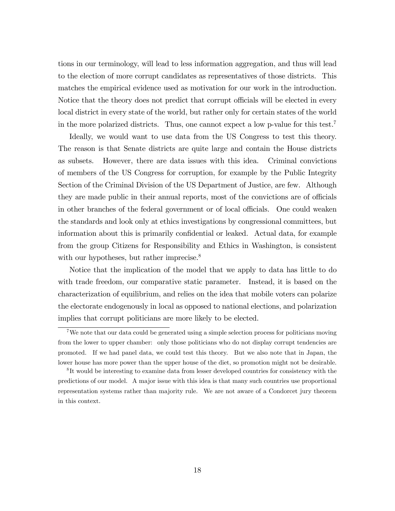tions in our terminology, will lead to less information aggregation, and thus will lead to the election of more corrupt candidates as representatives of those districts. This matches the empirical evidence used as motivation for our work in the introduction. Notice that the theory does not predict that corrupt officials will be elected in every local district in every state of the world, but rather only for certain states of the world in the more polarized districts. Thus, one cannot expect a low p-value for this test.<sup>7</sup>

Ideally, we would want to use data from the US Congress to test this theory. The reason is that Senate districts are quite large and contain the House districts as subsets. However, there are data issues with this idea. Criminal convictions of members of the US Congress for corruption, for example by the Public Integrity Section of the Criminal Division of the US Department of Justice, are few. Although they are made public in their annual reports, most of the convictions are of officials in other branches of the federal government or of local officials. One could weaken the standards and look only at ethics investigations by congressional committees, but information about this is primarily confidential or leaked. Actual data, for example from the group Citizens for Responsibility and Ethics in Washington, is consistent with our hypotheses, but rather imprecise.<sup>8</sup>

Notice that the implication of the model that we apply to data has little to do with trade freedom, our comparative static parameter. Instead, it is based on the characterization of equilibrium, and relies on the idea that mobile voters can polarize the electorate endogenously in local as opposed to national elections, and polarization implies that corrupt politicians are more likely to be elected.

<sup>&</sup>lt;sup>7</sup>We note that our data could be generated using a simple selection process for politicians moving from the lower to upper chamber: only those politicians who do not display corrupt tendencies are promoted. If we had panel data, we could test this theory. But we also note that in Japan, the lower house has more power than the upper house of the diet, so promotion might not be desirable.

<sup>&</sup>lt;sup>8</sup>It would be interesting to examine data from lesser developed countries for consistency with the predictions of our model. A major issue with this idea is that many such countries use proportional representation systems rather than majority rule. We are not aware of a Condorcet jury theorem in this context.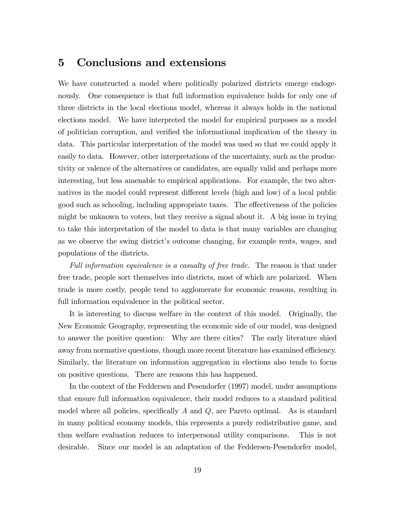## 5 Conclusions and extensions

We have constructed a model where politically polarized districts emerge endogenously. One consequence is that full information equivalence holds for only one of three districts in the local elections model, whereas it always holds in the national elections model. We have interpreted the model for empirical purposes as a model of politician corruption, and verified the informational implication of the theory in data. This particular interpretation of the model was used so that we could apply it easily to data. However, other interpretations of the uncertainty, such as the productivity or valence of the alternatives or candidates, are equally valid and perhaps more interesting, but less amenable to empirical applications. For example, the two alternatives in the model could represent different levels (high and low) of a local public good such as schooling, including appropriate taxes. The effectiveness of the policies might be unknown to voters, but they receive a signal about it. A big issue in trying to take this interpretation of the model to data is that many variables are changing as we observe the swing district's outcome changing, for example rents, wages, and populations of the districts.

Full information equivalence is a casualty of free trade. The reason is that under free trade, people sort themselves into districts, most of which are polarized. When trade is more costly, people tend to agglomerate for economic reasons, resulting in full information equivalence in the political sector.

It is interesting to discuss welfare in the context of this model. Originally, the New Economic Geography, representing the economic side of our model, was designed to answer the positive question: Why are there cities? The early literature shied away from normative questions, though more recent literature has examined efficiency. Similarly, the literature on information aggregation in elections also tends to focus on positive questions. There are reasons this has happened.

In the context of the Feddersen and Pesendorfer (1997) model, under assumptions that ensure full information equivalence, their model reduces to a standard political model where all policies, specifically  $A$  and  $Q$ , are Pareto optimal. As is standard in many political economy models, this represents a purely redistributive game, and thus welfare evaluation reduces to interpersonal utility comparisons. This is not desirable. Since our model is an adaptation of the Feddersen-Pesendorfer model,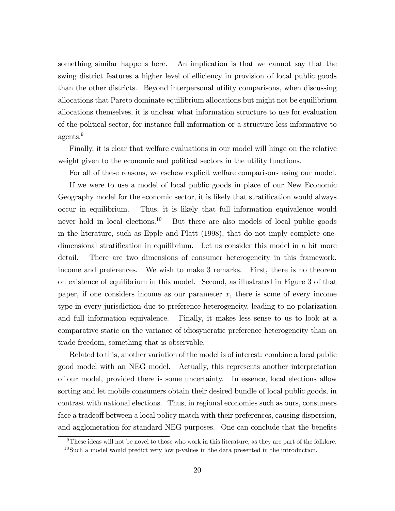something similar happens here. An implication is that we cannot say that the swing district features a higher level of efficiency in provision of local public goods than the other districts. Beyond interpersonal utility comparisons, when discussing allocations that Pareto dominate equilibrium allocations but might not be equilibrium allocations themselves, it is unclear what information structure to use for evaluation of the political sector, for instance full information or a structure less informative to agents.<sup>9</sup>

Finally, it is clear that welfare evaluations in our model will hinge on the relative weight given to the economic and political sectors in the utility functions.

For all of these reasons, we eschew explicit welfare comparisons using our model.

If we were to use a model of local public goods in place of our New Economic Geography model for the economic sector, it is likely that stratification would always occur in equilibrium. Thus, it is likely that full information equivalence would never hold in local elections.<sup>10</sup> But there are also models of local public goods in the literature, such as Epple and Platt (1998), that do not imply complete onedimensional stratification in equilibrium. Let us consider this model in a bit more detail. There are two dimensions of consumer heterogeneity in this framework, income and preferences. We wish to make 3 remarks. First, there is no theorem on existence of equilibrium in this model. Second, as illustrated in Figure 3 of that paper, if one considers income as our parameter  $x$ , there is some of every income type in every jurisdiction due to preference heterogeneity, leading to no polarization and full information equivalence. Finally, it makes less sense to us to look at a comparative static on the variance of idiosyncratic preference heterogeneity than on trade freedom, something that is observable.

Related to this, another variation of the model is of interest: combine a local public good model with an NEG model. Actually, this represents another interpretation of our model, provided there is some uncertainty. In essence, local elections allow sorting and let mobile consumers obtain their desired bundle of local public goods, in contrast with national elections. Thus, in regional economies such as ours, consumers face a tradeoff between a local policy match with their preferences, causing dispersion, and agglomeration for standard NEG purposes. One can conclude that the benefits

<sup>9</sup>These ideas will not be novel to those who work in this literature, as they are part of the folklore.  $10$ Such a model would predict very low p-values in the data presented in the introduction.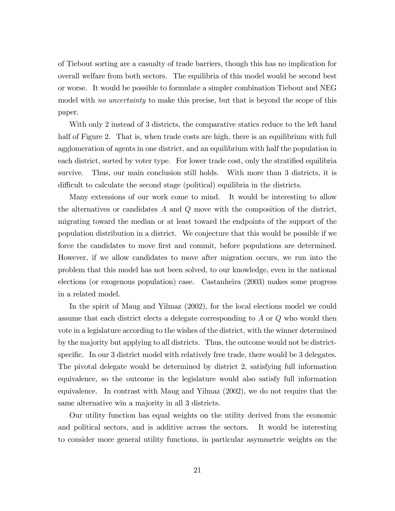of Tiebout sorting are a casualty of trade barriers, though this has no implication for overall welfare from both sectors. The equilibria of this model would be second best or worse. It would be possible to formulate a simpler combination Tiebout and NEG model with no uncertainty to make this precise, but that is beyond the scope of this paper.

With only 2 instead of 3 districts, the comparative statics reduce to the left hand half of Figure 2. That is, when trade costs are high, there is an equilibrium with full agglomeration of agents in one district, and an equilibrium with half the population in each district, sorted by voter type. For lower trade cost, only the stratified equilibria survive. Thus, our main conclusion still holds. With more than 3 districts, it is difficult to calculate the second stage (political) equilibria in the districts.

Many extensions of our work come to mind. It would be interesting to allow the alternatives or candidates A and Q move with the composition of the district, migrating toward the median or at least toward the endpoints of the support of the population distribution in a district. We conjecture that this would be possible if we force the candidates to move first and commit, before populations are determined. However, if we allow candidates to move after migration occurs, we run into the problem that this model has not been solved, to our knowledge, even in the national elections (or exogenous population) case. Castanheira (2003) makes some progress in a related model.

In the spirit of Maug and Yilmaz (2002), for the local elections model we could assume that each district elects a delegate corresponding to A or Q who would then vote in a legislature according to the wishes of the district, with the winner determined by the majority but applying to all districts. Thus, the outcome would not be districtspecific. In our 3 district model with relatively free trade, there would be 3 delegates. The pivotal delegate would be determined by district 2, satisfying full information equivalence, so the outcome in the legislature would also satisfy full information equivalence. In contrast with Maug and Yilmaz (2002), we do not require that the same alternative win a majority in all 3 districts.

Our utility function has equal weights on the utility derived from the economic and political sectors, and is additive across the sectors. It would be interesting to consider more general utility functions, in particular asymmetric weights on the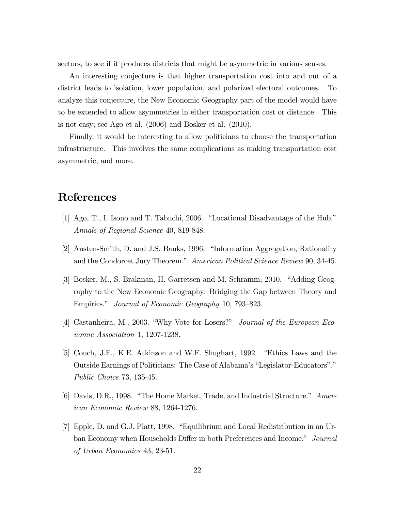sectors, to see if it produces districts that might be asymmetric in various senses.

An interesting conjecture is that higher transportation cost into and out of a district leads to isolation, lower population, and polarized electoral outcomes. To analyze this conjecture, the New Economic Geography part of the model would have to be extended to allow asymmetries in either transportation cost or distance. This is not easy; see Ago et al. (2006) and Bosker et al. (2010).

Finally, it would be interesting to allow politicians to choose the transportation infrastructure. This involves the same complications as making transportation cost asymmetric, and more.

# References

- [1] Ago, T., I. Isono and T. Tabuchi, 2006. "Locational Disadvantage of the Hub." Annals of Regional Science 40, 819-848.
- [2] Austen-Smith, D. and J.S. Banks, 1996. "Information Aggregation, Rationality and the Condorcet Jury Theorem." American Political Science Review 90, 34-45.
- [3] Bosker, M., S. Brakman, H. Garretsen and M. Schramm, 2010. "Adding Geography to the New Economic Geography: Bridging the Gap between Theory and Empirics." Journal of Economic Geography 10, 793–823.
- [4] Castanheira, M., 2003. "Why Vote for Losers?" Journal of the European Economic Association 1, 1207-1238.
- [5] Couch, J.F., K.E. Atkinson and W.F. Shughart, 1992. "Ethics Laws and the Outside Earnings of Politicians: The Case of Alabama's "Legislator-Educators"." Public Choice 73, 135-45.
- [6] Davis, D.R., 1998. "The Home Market, Trade, and Industrial Structure."  $Amer$ ican Economic Review 88, 1264-1276.
- [7] Epple, D. and G.J. Platt, 1998. "Equilibrium and Local Redistribution in an Urban Economy when Households Differ in both Preferences and Income." Journal of Urban Economics 43, 23-51.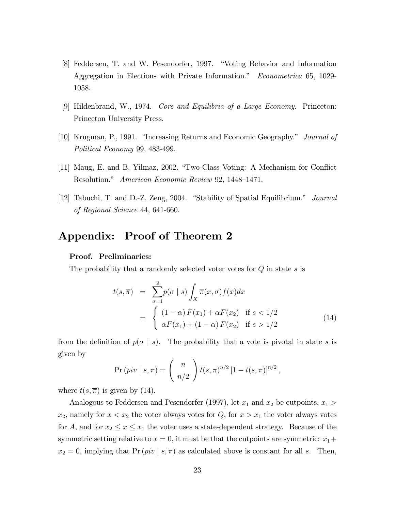- [8] Feddersen, T. and W. Pesendorfer, 1997. "Voting Behavior and Information Aggregation in Elections with Private Information.<sup>n</sup> Econometrica 65, 1029-1058.
- [9] Hildenbrand, W., 1974. Core and Equilibria of a Large Economy. Princeton: Princeton University Press.
- [10] Krugman, P., 1991. "Increasing Returns and Economic Geography." Journal of Political Economy 99, 483-499.
- [11] Maug, E. and B. Yilmaz, 2002. "Two-Class Voting: A Mechanism for Conflict Resolution." American Economic Review 92, 1448-1471.
- [12] Tabuchi, T. and D.-Z. Zeng, 2004. "Stability of Spatial Equilibrium." Journal of Regional Science 44, 641-660.

# Appendix: Proof of Theorem 2

#### Proof. Preliminaries:

The probability that a randomly selected voter votes for  $Q$  in state  $s$  is

$$
t(s,\overline{\pi}) = \sum_{\sigma=1}^{2} p(\sigma \mid s) \int_{X} \overline{\pi}(x,\sigma) f(x) dx
$$
  
= 
$$
\begin{cases} (1-\alpha) F(x_1) + \alpha F(x_2) & \text{if } s < 1/2 \\ \alpha F(x_1) + (1-\alpha) F(x_2) & \text{if } s > 1/2 \end{cases}
$$
(14)

from the definition of  $p(\sigma | s)$ . The probability that a vote is pivotal in state s is given by

$$
\Pr\left(piv \mid s,\overline{\pi}\right) = \binom{n}{n/2} t(s,\overline{\pi})^{n/2} \left[1 - t(s,\overline{\pi})\right]^{n/2},
$$

where  $t(s, \overline{\pi})$  is given by (14).

Analogous to Feddersen and Pesendorfer (1997), let  $x_1$  and  $x_2$  be cutpoints,  $x_1 >$  $x_2$ , namely for  $x < x_2$  the voter always votes for  $Q$ , for  $x > x_1$  the voter always votes for A, and for  $x_2 \leq x \leq x_1$  the voter uses a state-dependent strategy. Because of the symmetric setting relative to  $x = 0$ , it must be that the cutpoints are symmetric:  $x_1 +$  $x_2 = 0$ , implying that Pr  $(piv \mid s, \overline{\pi})$  as calculated above is constant for all s. Then,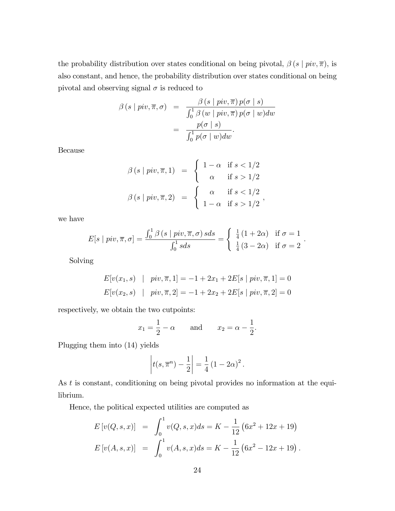the probability distribution over states conditional on being pivotal,  $\beta$  (s | piv,  $\overline{\pi}$ ), is also constant, and hence, the probability distribution over states conditional on being pivotal and observing signal  $\sigma$  is reduced to

$$
\beta(s \mid piv, \overline{\pi}, \sigma) = \frac{\beta(s \mid piv, \overline{\pi}) p(\sigma \mid s)}{\int_0^1 \beta(w \mid piv, \overline{\pi}) p(\sigma \mid w) dw}
$$

$$
= \frac{p(\sigma \mid s)}{\int_0^1 p(\sigma \mid w) dw}.
$$

Because

$$
\beta(s \mid piv, \overline{\pi}, 1) = \begin{cases} 1 - \alpha & \text{if } s < 1/2 \\ \alpha & \text{if } s > 1/2 \end{cases}
$$

$$
\beta(s \mid piv, \overline{\pi}, 2) = \begin{cases} \alpha & \text{if } s < 1/2 \\ 1 - \alpha & \text{if } s > 1/2 \end{cases},
$$

we have

$$
E[s | piv, \overline{\pi}, \sigma] = \frac{\int_0^1 \beta (s | piv, \overline{\pi}, \sigma) \, s ds}{\int_0^1 s ds} = \begin{cases} \frac{1}{4} (1 + 2\alpha) & \text{if } \sigma = 1 \\ \frac{1}{4} (3 - 2\alpha) & \text{if } \sigma = 2 \end{cases}.
$$

Solving

$$
E[v(x_1, s) \mid piv, \overline{\pi}, 1] = -1 + 2x_1 + 2E[s \mid piv, \overline{\pi}, 1] = 0
$$
  

$$
E[v(x_2, s) \mid piv, \overline{\pi}, 2] = -1 + 2x_2 + 2E[s \mid piv, \overline{\pi}, 2] = 0
$$

respectively, we obtain the two cutpoints:

$$
x_1 = \frac{1}{2} - \alpha
$$
 and  $x_2 = \alpha - \frac{1}{2}$ .

Plugging them into (14) yields

$$
|t(s,\overline{\pi}^n) - \frac{1}{2}| = \frac{1}{4} (1 - 2\alpha)^2.
$$

As t is constant, conditioning on being pivotal provides no information at the equilibrium.

Hence, the political expected utilities are computed as

$$
E[v(Q, s, x)] = \int_0^1 v(Q, s, x)ds = K - \frac{1}{12} (6x^2 + 12x + 19)
$$
  

$$
E[v(A, s, x)] = \int_0^1 v(A, s, x)ds = K - \frac{1}{12} (6x^2 - 12x + 19).
$$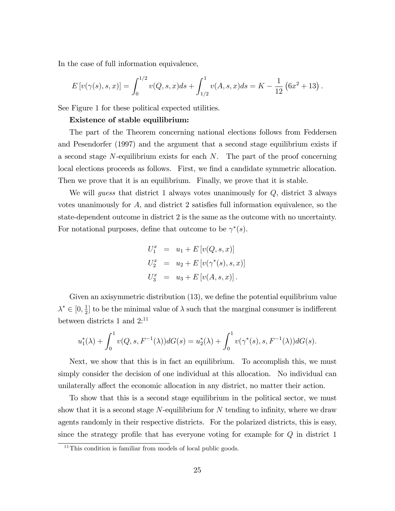In the case of full information equivalence,

$$
E[v(\gamma(s), s, x)] = \int_0^{1/2} v(Q, s, x)ds + \int_{1/2}^1 v(A, s, x)ds = K - \frac{1}{12} (6x^2 + 13).
$$

See Figure 1 for these political expected utilities.

### Existence of stable equilibrium:

The part of the Theorem concerning national elections follows from Feddersen and Pesendorfer (1997) and the argument that a second stage equilibrium exists if a second stage  $N$ -equilibrium exists for each  $N$ . The part of the proof concerning local elections proceeds as follows. First, we find a candidate symmetric allocation. Then we prove that it is an equilibrium. Finally, we prove that it is stable.

We will *guess* that district 1 always votes unanimously for  $Q$ , district 3 always votes unanimously for  $A$ , and district 2 satisfies full information equivalence, so the state-dependent outcome in district 2 is the same as the outcome with no uncertainty. For notational purposes, define that outcome to be  $\gamma^*(s)$ .

$$
U_1^x = u_1 + E[v(Q, s, x)]
$$
  
\n
$$
U_2^x = u_2 + E[v(\gamma^*(s), s, x)]
$$
  
\n
$$
U_3^x = u_3 + E[v(A, s, x)].
$$

Given an axisymmetric distribution (13), we define the potential equilibrium value  $\lambda^* \in [0, \frac{1}{2}]$  $\frac{1}{2}$  to be the minimal value of  $\lambda$  such that the marginal consumer is indifferent between districts 1 and 2:<sup>11</sup>

$$
u_1^*(\lambda) + \int_0^1 v(Q, s, F^{-1}(\lambda)) dG(s) = u_2^*(\lambda) + \int_0^1 v(\gamma^*(s), s, F^{-1}(\lambda)) dG(s).
$$

Next, we show that this is in fact an equilibrium. To accomplish this, we must simply consider the decision of one individual at this allocation. No individual can unilaterally affect the economic allocation in any district, no matter their action.

To show that this is a second stage equilibrium in the political sector, we must show that it is a second stage  $N$ -equilibrium for  $N$  tending to infinity, where we draw agents randomly in their respective districts. For the polarized districts, this is easy, since the strategy profile that has everyone voting for example for  $Q$  in district 1

<sup>&</sup>lt;sup>11</sup>This condition is familiar from models of local public goods.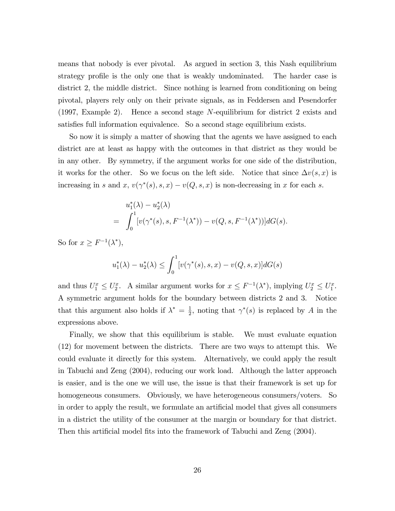means that nobody is ever pivotal. As argued in section 3, this Nash equilibrium strategy profile is the only one that is weakly undominated. The harder case is district 2, the middle district. Since nothing is learned from conditioning on being pivotal, players rely only on their private signals, as in Feddersen and Pesendorfer (1997, Example 2). Hence a second stage N-equilibrium for district 2 exists and satisfies full information equivalence. So a second stage equilibrium exists.

So now it is simply a matter of showing that the agents we have assigned to each district are at least as happy with the outcomes in that district as they would be in any other. By symmetry, if the argument works for one side of the distribution, it works for the other. So we focus on the left side. Notice that since  $\Delta v(s, x)$  is increasing in s and x,  $v(\gamma^*(s), s, x) - v(Q, s, x)$  is non-decreasing in x for each s.

$$
u_1^*(\lambda) - u_2^*(\lambda)
$$
  
= 
$$
\int_0^1 [v(\gamma^*(s), s, F^{-1}(\lambda^*)) - v(Q, s, F^{-1}(\lambda^*))] dG(s).
$$

So for  $x \geq F^{-1}(\lambda^*),$ 

$$
u_1^*(\lambda) - u_2^*(\lambda) \le \int_0^1 [v(\gamma^*(s), s, x) - v(Q, s, x)] dG(s)
$$

and thus  $U_1^x \leq U_2^x$ . A similar argument works for  $x \leq F^{-1}(\lambda^*)$ , implying  $U_2^x \leq U_1^x$ . A symmetric argument holds for the boundary between districts 2 and 3. Notice that this argument also holds if  $\lambda^* = \frac{1}{2}$  $\frac{1}{2}$ , noting that  $\gamma^*(s)$  is replaced by A in the expressions above.

Finally, we show that this equilibrium is stable. We must evaluate equation (12) for movement between the districts. There are two ways to attempt this. We could evaluate it directly for this system. Alternatively, we could apply the result in Tabuchi and Zeng (2004), reducing our work load. Although the latter approach is easier, and is the one we will use, the issue is that their framework is set up for homogeneous consumers. Obviously, we have heterogeneous consumers/voters. So in order to apply the result, we formulate an artificial model that gives all consumers in a district the utility of the consumer at the margin or boundary for that district. Then this artificial model fits into the framework of Tabuchi and Zeng (2004).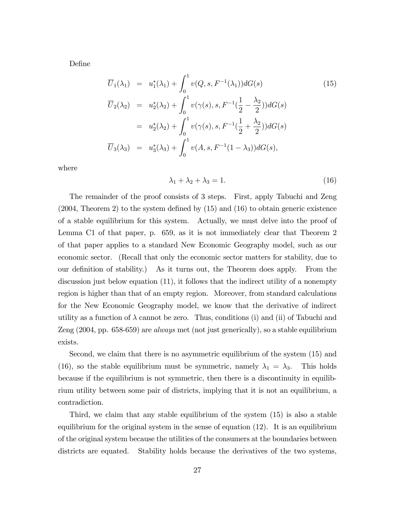DeÖne

$$
\overline{U}_{1}(\lambda_{1}) = u_{1}^{*}(\lambda_{1}) + \int_{0}^{1} v(Q, s, F^{-1}(\lambda_{1})) dG(s)
$$
\n
$$
\overline{U}_{2}(\lambda_{2}) = u_{2}^{*}(\lambda_{2}) + \int_{0}^{1} v(\gamma(s), s, F^{-1}(\frac{1}{2} - \frac{\lambda_{2}}{2})) dG(s)
$$
\n
$$
= u_{2}^{*}(\lambda_{2}) + \int_{0}^{1} v(\gamma(s), s, F^{-1}(\frac{1}{2} + \frac{\lambda_{2}}{2})) dG(s)
$$
\n
$$
\overline{U}_{3}(\lambda_{3}) = u_{3}^{*}(\lambda_{3}) + \int_{0}^{1} v(A, s, F^{-1}(1 - \lambda_{3})) dG(s),
$$
\n(15)

where

$$
\lambda_1 + \lambda_2 + \lambda_3 = 1. \tag{16}
$$

The remainder of the proof consists of 3 steps. First, apply Tabuchi and Zeng  $(2004,$  Theorem 2) to the system defined by  $(15)$  and  $(16)$  to obtain generic existence of a stable equilibrium for this system. Actually, we must delve into the proof of Lemma C1 of that paper, p. 659, as it is not immediately clear that Theorem 2 of that paper applies to a standard New Economic Geography model, such as our economic sector. (Recall that only the economic sector matters for stability, due to our definition of stability.) As it turns out, the Theorem does apply. From the discussion just below equation (11), it follows that the indirect utility of a nonempty region is higher than that of an empty region. Moreover, from standard calculations for the New Economic Geography model, we know that the derivative of indirect utility as a function of  $\lambda$  cannot be zero. Thus, conditions (i) and (ii) of Tabuchi and Zeng (2004, pp. 658-659) are *always* met (not just generically), so a stable equilibrium exists.

Second, we claim that there is no asymmetric equilibrium of the system (15) and (16), so the stable equilibrium must be symmetric, namely  $\lambda_1 = \lambda_3$ . This holds because if the equilibrium is not symmetric, then there is a discontinuity in equilibrium utility between some pair of districts, implying that it is not an equilibrium, a contradiction.

Third, we claim that any stable equilibrium of the system (15) is also a stable equilibrium for the original system in the sense of equation (12). It is an equilibrium of the original system because the utilities of the consumers at the boundaries between districts are equated. Stability holds because the derivatives of the two systems,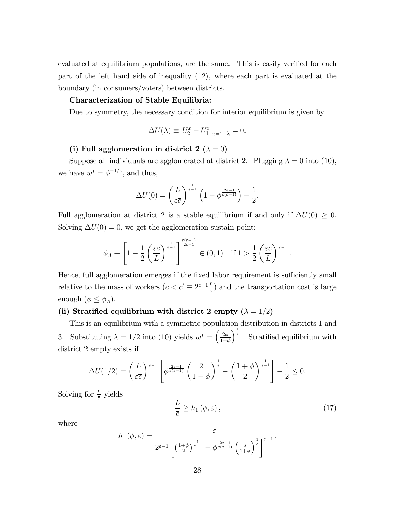evaluated at equilibrium populations, are the same. This is easily verified for each part of the left hand side of inequality (12), where each part is evaluated at the boundary (in consumers/voters) between districts.

#### Characterization of Stable Equilibria:

Due to symmetry, the necessary condition for interior equilibrium is given by

$$
\Delta U(\lambda) \equiv U_2^x - U_1^x|_{x=1-\lambda} = 0.
$$

### (i) Full agglomeration in district 2 ( $\lambda = 0$ )

Suppose all individuals are agglomerated at district 2. Plugging  $\lambda = 0$  into (10), we have  $w^* = \phi^{-1/\varepsilon}$ , and thus,

$$
\Delta U(0) = \left(\frac{L}{\varepsilon \overline{c}}\right)^{\frac{1}{\varepsilon - 1}} \left(1 - \phi^{\frac{2\varepsilon - 1}{\varepsilon(\varepsilon - 1)}}\right) - \frac{1}{2}.
$$

Full agglomeration at district 2 is a stable equilibrium if and only if  $\Delta U(0) \geq 0$ . Solving  $\Delta U(0) = 0$ , we get the agglomeration sustain point:

$$
\phi_A \equiv \left[1-\frac{1}{2}\left(\frac{\varepsilon \overline{c}}{L}\right)^{\frac{1}{\varepsilon-1}}\right]^{\frac{\varepsilon(\varepsilon-1)}{2\varepsilon-1}} \in (0,1) \quad \text{if } 1>\frac{1}{2}\left(\frac{\varepsilon \overline{c}}{L}\right)^{\frac{1}{\varepsilon-1}}.
$$

Hence, full agglomeration emerges if the fixed labor requirement is sufficiently small relative to the mass of workers  $(\bar{c} < \bar{c}') \equiv 2^{\epsilon - 1} \frac{L}{\epsilon}$  $\frac{L}{\varepsilon}$ ) and the transportation cost is large enough  $(\phi \leq \phi_A)$ .

### (ii) Stratified equilibrium with district 2 empty ( $\lambda = 1/2$ )

This is an equilibrium with a symmetric population distribution in districts 1 and 3. Substituting  $\lambda = 1/2$  into (10) yields  $w^* = \begin{pmatrix} \frac{2\phi}{1+\epsilon} \\ 0 \end{pmatrix}$  $\overline{1+\phi}$  $\int_{0}^{\frac{1}{\varepsilon}}$ . Stratified equilibrium with district 2 empty exists if

$$
\Delta U(1/2) = \left(\frac{L}{\varepsilon \overline{c}}\right)^{\frac{1}{\varepsilon - 1}} \left[\phi^{\frac{2\varepsilon - 1}{\varepsilon(\varepsilon - 1)}}\left(\frac{2}{1 + \phi}\right)^{\frac{1}{\varepsilon}} - \left(\frac{1 + \phi}{2}\right)^{\frac{1}{\varepsilon - 1}}\right] + \frac{1}{2} \le 0.
$$

Solving for  $\frac{L}{\bar{c}}$  yields

$$
\frac{L}{\overline{c}} \ge h_1\left(\phi, \varepsilon\right),\tag{17}
$$

where

$$
h_1(\phi, \varepsilon) = \frac{\varepsilon}{2^{\varepsilon - 1} \left[ \left( \frac{1 + \phi}{2} \right)^{\frac{1}{\varepsilon - 1}} - \phi^{\frac{2\varepsilon - 1}{\varepsilon(\varepsilon - 1)}} \left( \frac{2}{1 + \phi} \right)^{\frac{1}{\varepsilon}} \right]^{\varepsilon - 1}}.
$$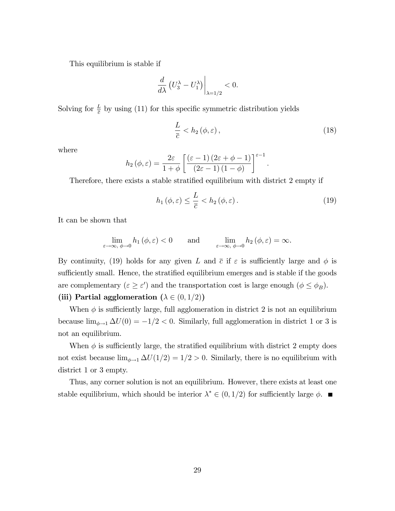This equilibrium is stable if

$$
\left.\frac{d}{d\lambda}\left(U_3^\lambda-U_1^\lambda\right)\right|_{\lambda=1/2}<0.
$$

Solving for  $\frac{L}{c}$  by using (11) for this specific symmetric distribution yields

$$
\frac{L}{\overline{c}} < h_2\left(\phi, \varepsilon\right),\tag{18}
$$

:

where

$$
h_2(\phi, \varepsilon) = \frac{2\varepsilon}{1+\phi} \left[ \frac{(\varepsilon-1) (2\varepsilon + \phi - 1)}{(2\varepsilon - 1) (1-\phi)} \right]^{\varepsilon-1}
$$

Therefore, there exists a stable stratified equilibrium with district  $2 \text{ empty if}$ 

$$
h_1(\phi, \varepsilon) \le \frac{L}{\overline{c}} < h_2(\phi, \varepsilon). \tag{19}
$$

It can be shown that

$$
\lim_{\varepsilon \to \infty, \ \phi \to 0} h_1(\phi, \varepsilon) < 0 \qquad \text{and} \qquad \lim_{\varepsilon \to \infty, \ \phi \to 0} h_2(\phi, \varepsilon) = \infty.
$$

By continuity, (19) holds for any given L and  $\bar{c}$  if  $\varepsilon$  is sufficiently large and  $\phi$  is sufficiently small. Hence, the stratified equilibrium emerges and is stable if the goods are complementary  $(\varepsilon \ge \varepsilon')$  and the transportation cost is large enough  $(\phi \le \phi_B)$ . (iii) Partial agglomeration ( $\lambda \in (0, 1/2)$ )

When  $\phi$  is sufficiently large, full agglomeration in district 2 is not an equilibrium because  $\lim_{\phi \to 1} \Delta U(0) = -1/2 < 0$ . Similarly, full agglomeration in district 1 or 3 is not an equilibrium.

When  $\phi$  is sufficiently large, the stratified equilibrium with district 2 empty does not exist because  $\lim_{\phi \to 1} \Delta U(1/2) = 1/2 > 0$ . Similarly, there is no equilibrium with district 1 or 3 empty.

Thus, any corner solution is not an equilibrium. However, there exists at least one stable equilibrium, which should be interior  $\lambda^* \in (0, 1/2)$  for sufficiently large  $\phi$ .